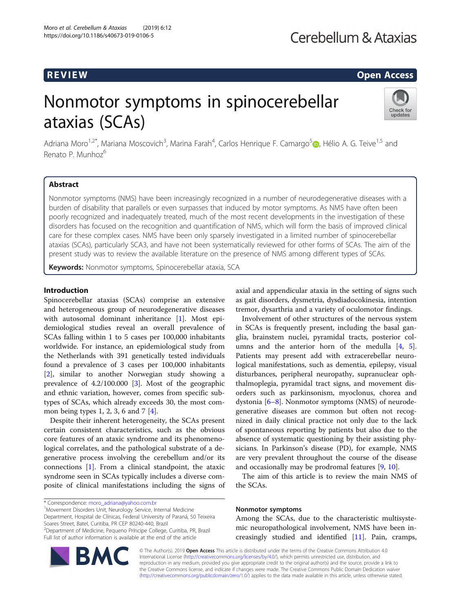# Cerebellum & Ataxias

# R EVI EW Open Access

# Nonmotor symptoms in spinocerebellar ataxias (SCAs)



Adriana Moro<sup>1[,](http://orcid.org/0000-0002-3533-0347)2\*</sup>, Mariana Moscovich<sup>3</sup>, Marina Farah<sup>4</sup>, Carlos Henrique F. Camargo<sup>5</sup>. Hélio A. G. Teive<sup>1,5</sup> and Renato P. Munhoz<sup>6</sup>

### Abstract

Nonmotor symptoms (NMS) have been increasingly recognized in a number of neurodegenerative diseases with a burden of disability that parallels or even surpasses that induced by motor symptoms. As NMS have often been poorly recognized and inadequately treated, much of the most recent developments in the investigation of these disorders has focused on the recognition and quantification of NMS, which will form the basis of improved clinical care for these complex cases. NMS have been only sparsely investigated in a limited number of spinocerebellar ataxias (SCAs), particularly SCA3, and have not been systematically reviewed for other forms of SCAs. The aim of the present study was to review the available literature on the presence of NMS among different types of SCAs.

Keywords: Nonmotor symptoms, Spinocerebellar ataxia, SCA

#### Introduction

Spinocerebellar ataxias (SCAs) comprise an extensive and heterogeneous group of neurodegenerative diseases with autosomal dominant inheritance [[1\]](#page-5-0). Most epidemiological studies reveal an overall prevalence of SCAs falling within 1 to 5 cases per 100,000 inhabitants worldwide. For instance, an epidemiological study from the Netherlands with 391 genetically tested individuals found a prevalence of 3 cases per 100,000 inhabitants [[2\]](#page-5-0), similar to another Norwegian study showing a prevalence of 4.2/100.000 [[3](#page-5-0)]. Most of the geographic and ethnic variation, however, comes from specific subtypes of SCAs, which already exceeds 30, the most common being types 1, 2, 3, 6 and 7 [\[4](#page-5-0)].

Despite their inherent heterogeneity, the SCAs present certain consistent characteristics, such as the obvious core features of an ataxic syndrome and its phenomenological correlates, and the pathological substrate of a degenerative process involving the cerebellum and/or its connections [[1\]](#page-5-0). From a clinical standpoint, the ataxic syndrome seen in SCAs typically includes a diverse composite of clinical manifestations including the signs of

\* Correspondence: [moro\\_adriana@yahoo.com.br](mailto:moro_adriana@yahoo.com.br) <sup>1</sup>

Department, Hospital de Clínicas, Federal University of Paraná, 50 Teixeira Soares Street, Batel, Curitiba, PR CEP 80240-440, Brazil

Full list of author information is available at the end of the article





axial and appendicular ataxia in the setting of signs such as gait disorders, dysmetria, dysdiadocokinesia, intention tremor, dysarthria and a variety of oculomotor findings.

Involvement of other structures of the nervous system in SCAs is frequently present, including the basal ganglia, brainstem nuclei, pyramidal tracts, posterior columns and the anterior horn of the medulla [[4,](#page-5-0) [5](#page-5-0)]. Patients may present add with extracerebellar neurological manifestations, such as dementia, epilepsy, visual disturbances, peripheral neuropathy, supranuclear ophthalmoplegia, pyramidal tract signs, and movement disorders such as parkinsonism, myoclonus, chorea and dystonia [[6](#page-5-0)–[8\]](#page-5-0). Nonmotor symptoms (NMS) of neurodegenerative diseases are common but often not recognized in daily clinical practice not only due to the lack of spontaneous reporting by patients but also due to the absence of systematic questioning by their assisting physicians. In Parkinson's disease (PD), for example, NMS are very prevalent throughout the course of the disease and occasionally may be prodromal features [\[9](#page-5-0), [10](#page-5-0)].

The aim of this article is to review the main NMS of the SCAs.

### Nonmotor symptoms

Among the SCAs, due to the characteristic multisystemic neuropathological involvement, NMS have been increasingly studied and identified [\[11\]](#page-5-0). Pain, cramps,

© The Author(s). 2019 Open Access This article is distributed under the terms of the Creative Commons Attribution 4.0 International License [\(http://creativecommons.org/licenses/by/4.0/](http://creativecommons.org/licenses/by/4.0/)), which permits unrestricted use, distribution, and reproduction in any medium, provided you give appropriate credit to the original author(s) and the source, provide a link to the Creative Commons license, and indicate if changes were made. The Creative Commons Public Domain Dedication waiver [\(http://creativecommons.org/publicdomain/zero/1.0/](http://creativecommons.org/publicdomain/zero/1.0/)) applies to the data made available in this article, unless otherwise stated.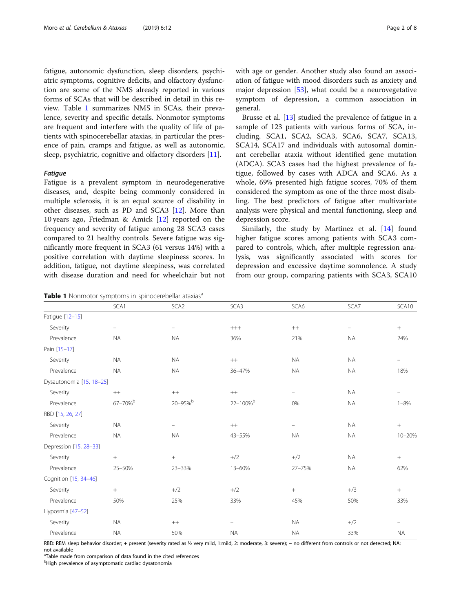fatigue, autonomic dysfunction, sleep disorders, psychiatric symptoms, cognitive deficits, and olfactory dysfunction are some of the NMS already reported in various forms of SCAs that will be described in detail in this review. Table 1 summarizes NMS in SCAs, their prevalence, severity and specific details. Nonmotor symptoms are frequent and interfere with the quality of life of patients with spinocerebellar ataxias, in particular the presence of pain, cramps and fatigue, as well as autonomic, sleep, psychiatric, cognitive and olfactory disorders [[11\]](#page-5-0).

#### Fatigue

Fatigue [[12](#page-5-0)–[15](#page-5-0)]

Fatigue is a prevalent symptom in neurodegenerative diseases, and, despite being commonly considered in multiple sclerosis, it is an equal source of disability in other diseases, such as PD and SCA3 [[12\]](#page-5-0). More than 10 years ago, Friedman & Amick [\[12](#page-5-0)] reported on the frequency and severity of fatigue among 28 SCA3 cases compared to 21 healthy controls. Severe fatigue was significantly more frequent in SCA3 (61 versus 14%) with a positive correlation with daytime sleepiness scores. In addition, fatigue, not daytime sleepiness, was correlated with disease duration and need for wheelchair but not

Table 1 Nonmotor symptoms in spinocerebellar ataxias<sup>a</sup>

with age or gender. Another study also found an association of fatigue with mood disorders such as anxiety and major depression [\[53](#page-6-0)], what could be a neurovegetative symptom of depression, a common association in general.

Brusse et al. [\[13\]](#page-5-0) studied the prevalence of fatigue in a sample of 123 patients with various forms of SCA, including, SCA1, SCA2, SCA3, SCA6, SCA7, SCA13, SCA14, SCA17 and individuals with autosomal dominant cerebellar ataxia without identified gene mutation (ADCA). SCA3 cases had the highest prevalence of fatigue, followed by cases with ADCA and SCA6. As a whole, 69% presented high fatigue scores, 70% of them considered the symptom as one of the three most disabling. The best predictors of fatigue after multivariate analysis were physical and mental functioning, sleep and depression score.

Similarly, the study by Martinez et al. [\[14](#page-5-0)] found higher fatigue scores among patients with SCA3 compared to controls, which, after multiple regression analysis, was significantly associated with scores for depression and excessive daytime somnolence. A study from our group, comparing patients with SCA3, SCA10

| Prevalence               | <b>NA</b> | <b>NA</b>       | 36%       | 21%               | <b>NA</b> | 24%        |
|--------------------------|-----------|-----------------|-----------|-------------------|-----------|------------|
| Pain [15-17]             |           |                 |           |                   |           |            |
| Severity                 | <b>NA</b> | <b>NA</b>       | $^{++}$   | <b>NA</b>         | <b>NA</b> |            |
| Prevalence               | <b>NA</b> | <b>NA</b>       | 36-47%    | <b>NA</b>         | <b>NA</b> | 18%        |
| Dysautonomia [15, 18-25] |           |                 |           |                   |           |            |
| Severity                 | $++$      | $^{++}$         | $^{++}$   | $\qquad \qquad -$ | <b>NA</b> |            |
| Prevalence               | 67-70%b   | 20-95%b         | 22-100%b  | 0%                | <b>NA</b> | $1 - 8%$   |
| RBD [15, 26, 27]         |           |                 |           |                   |           |            |
| Severity                 | <b>NA</b> | -               | $^{++}$   | $\qquad \qquad -$ | <b>NA</b> | $^{+}$     |
| Prevalence               | <b>NA</b> | <b>NA</b>       | 43-55%    | <b>NA</b>         | <b>NA</b> | $10 - 20%$ |
| Depression [15, 28-33]   |           |                 |           |                   |           |            |
| Severity                 | $^{+}$    | $\! + \!\!\!\!$ | $+/2$     | $+/2$             | <b>NA</b> | $^{+}$     |
| Prevalence               | 25-50%    | 23-33%          | 13-60%    | 27-75%            | <b>NA</b> | 62%        |
| Cognition [15, 34-46]    |           |                 |           |                   |           |            |
| Severity                 | $^{+}$    | $+/2$           | $+/2$     | $\boldsymbol{+}$  | $+/3$     | $^{+}$     |
| Prevalence               | 50%       | 25%             | 33%       | 45%               | 50%       | 33%        |
| Hyposmia [47-52]         |           |                 |           |                   |           |            |
| Severity                 | <b>NA</b> | $^{++}$         |           | <b>NA</b>         | $+/2$     |            |
| Prevalence               | <b>NA</b> | 50%             | <b>NA</b> | <b>NA</b>         | 33%       | <b>NA</b>  |

Severity – – – – <del>+++</del> + ++ – – +

SCA1 SCA2 SCA3 SCA6 SCA7 SCA10

RBD: REM sleep behavior disorder; + present (severity rated as 1/2 very mild, 1:mild, 2: moderate, 3: severe); - no different from controls or not detected; NA: not available

<sup>a</sup>Table made from comparison of data found in the cited references

<sup>b</sup>High prevalence of asymptomatic cardiac dysatonomia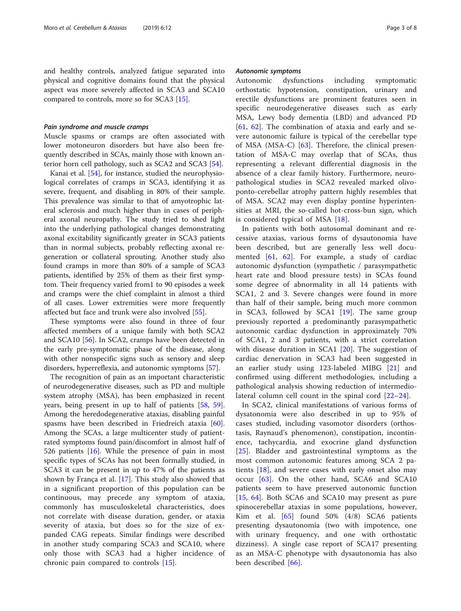and healthy controls, analyzed fatigue separated into physical and cognitive domains found that the physical aspect was more severely affected in SCA3 and SCA10 compared to controls, more so for SCA3 [\[15\]](#page-5-0).

#### Pain syndrome and muscle cramps

Muscle spasms or cramps are often associated with lower motoneuron disorders but have also been frequently described in SCAs, mainly those with known anterior horn cell pathology, such as SCA2 and SCA3 [[54](#page-6-0)].

Kanai et al. [[54\]](#page-6-0), for instance, studied the neurophysiological correlates of cramps in SCA3, identifying it as severe, frequent, and disabling in 80% of their sample. This prevalence was similar to that of amyotrophic lateral sclerosis and much higher than in cases of peripheral axonal neuropathy. The study tried to shed light into the underlying pathological changes demonstrating axonal excitability significantly greater in SCA3 patients than in normal subjects, probably reflecting axonal regeneration or collateral sprouting. Another study also found cramps in more than 80% of a sample of SCA3 patients, identified by 25% of them as their first symptom. Their frequency varied from1 to 90 episodes a week and cramps were the chief complaint in almost a third of all cases. Lower extremities were more frequently affected but face and trunk were also involved [[55\]](#page-6-0).

These symptoms were also found in three of four affected members of a unique family with both SCA2 and SCA10 [\[56](#page-6-0)]. In SCA2, cramps have been detected in the early pre-symptomatic phase of the disease, along with other nonspecific signs such as sensory and sleep disorders, hyperreflexia, and autonomic symptoms [\[57](#page-6-0)].

The recognition of pain as an important characteristic of neurodegenerative diseases, such as PD and multiple system atrophy (MSA), has been emphasized in recent years, being present in up to half of patients [[58,](#page-6-0) [59](#page-6-0)]. Among the heredodegenerative ataxias, disabling painful spasms have been described in Friedreich ataxia [\[60](#page-6-0)]. Among the SCAs, a large multicenter study of patientrated symptoms found pain/discomfort in almost half of 526 patients [[16\]](#page-5-0). While the presence of pain in most specific types of SCAs has not been formally studied, in SCA3 it can be present in up to 47% of the patients as shown by França et al. [\[17](#page-5-0)]. This study also showed that in a significant proportion of this population can be continuous, may precede any symptom of ataxia, commonly has musculoskeletal characteristics, does not correlate with disease duration, gender, or ataxia severity of ataxia, but does so for the size of expanded CAG repeats. Similar findings were described in another study comparing SCA3 and SCA10, where only those with SCA3 had a higher incidence of chronic pain compared to controls [[15\]](#page-5-0).

#### Autonomic symptoms

Autonomic dysfunctions including symptomatic orthostatic hypotension, constipation, urinary and erectile dysfunctions are prominent features seen in specific neurodegenerative diseases such as early MSA, Lewy body dementia (LBD) and advanced PD  $[61, 62]$  $[61, 62]$  $[61, 62]$  $[61, 62]$ . The combination of ataxia and early and severe autonomic failure is typical of the cerebellar type of MSA (MSA-C)  $[63]$  $[63]$ . Therefore, the clinical presentation of MSA-C may overlap that of SCAs, thus representing a relevant differential diagnosis in the absence of a clear family history. Furthermore, neuropathological studies in SCA2 revealed marked olivoponto-cerebellar atrophy pattern highly resembles that of MSA. SCA2 may even display pontine hyperintensities at MRI, the so-called hot-cross-bun sign, which is considered typical of MSA [[18](#page-5-0)].

In patients with both autosomal dominant and recessive ataxias, various forms of dysautonomia have been described, but are generally less well documented [\[61](#page-6-0), [62\]](#page-6-0). For example, a study of cardiac autonomic dysfunction (sympathetic / parasympathetic heart rate and blood pressure tests) in SCAs found some degree of abnormality in all 14 patients with SCA1, 2 and 3. Severe changes were found in more than half of their sample, being much more common in SCA3, followed by SCA1 [\[19](#page-5-0)]. The same group previously reported a predominantly parasympathetic autonomic cardiac dysfunction in approximately 70% of SCA1, 2 and 3 patients, with a strict correlation with disease duration in SCA1 [[20\]](#page-5-0). The suggestion of cardiac denervation in SCA3 had been suggested in an earlier study using 123-labeled MIBG [\[21](#page-5-0)] and confirmed using different methodologies, including a pathological analysis showing reduction of intermediolateral column cell count in the spinal cord [\[22](#page-5-0)–[24](#page-6-0)].

In SCA2, clinical manifestations of various forms of dysatonomia were also described in up to 95% of cases studied, including vasomotor disorders (orthostasis, Raynaud's phenomenon), constipation, incontinence, tachycardia, and exocrine gland dysfunction [[25\]](#page-6-0). Bladder and gastrointestinal symptoms as the most common autonomic features among SCA 2 patients  $[18]$  $[18]$  $[18]$ , and severe cases with early onset also may occur [[63\]](#page-6-0). On the other hand, SCA6 and SCA10 patients seem to have preserved autonomic function [[15,](#page-5-0) [64\]](#page-6-0). Both SCA6 and SCA10 may present as pure spinocerebellar ataxias in some populations, however, Kim et al.  $[65]$  $[65]$  found 50%  $(4/8)$  SCA6 patients presenting dysautonomia (two with impotence, one with urinary frequency, and one with orthostatic dizziness). A single case report of SCA17 presenting as an MSA-C phenotype with dysautonomia has also been described [[66](#page-6-0)].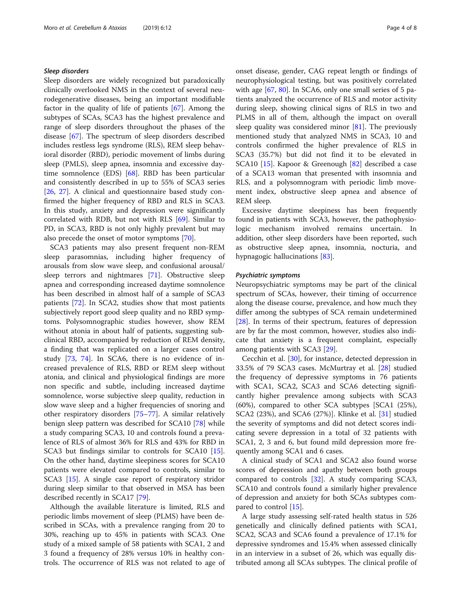#### Sleep disorders

Sleep disorders are widely recognized but paradoxically clinically overlooked NMS in the context of several neurodegenerative diseases, being an important modifiable factor in the quality of life of patients [\[67](#page-6-0)]. Among the subtypes of SCAs, SCA3 has the highest prevalence and range of sleep disorders throughout the phases of the disease [\[67](#page-6-0)]. The spectrum of sleep disorders described includes restless legs syndrome (RLS), REM sleep behavioral disorder (RBD), periodic movement of limbs during sleep (PMLS), sleep apnea, insomnia and excessive daytime somnolence (EDS) [\[68](#page-6-0)]. RBD has been particular and consistently described in up to 55% of SCA3 series [[26,](#page-6-0) [27\]](#page-6-0). A clinical and questionnaire based study confirmed the higher frequency of RBD and RLS in SCA3. In this study, anxiety and depression were significantly correlated with RDB, but not with RLS [\[69\]](#page-6-0). Similar to PD, in SCA3, RBD is not only highly prevalent but may also precede the onset of motor symptoms [[70\]](#page-6-0).

SCA3 patients may also present frequent non-REM sleep parasomnias, including higher frequency of arousals from slow wave sleep, and confusional arousal/ sleep terrors and nightmares [\[71](#page-7-0)]. Obstructive sleep apnea and corresponding increased daytime somnolence has been described in almost half of a sample of SCA3 patients [[72\]](#page-7-0). In SCA2, studies show that most patients subjectively report good sleep quality and no RBD symptoms. Polysomnographic studies however, show REM without atonia in about half of patients, suggesting subclinical RBD, accompanied by reduction of REM density, a finding that was replicated on a larger cases control study [\[73](#page-7-0), [74](#page-7-0)]. In SCA6, there is no evidence of increased prevalence of RLS, RBD or REM sleep without atonia, and clinical and physiological findings are more non specific and subtle, including increased daytime somnolence, worse subjective sleep quality, reduction in slow wave sleep and a higher frequencies of snoring and other respiratory disorders [[75](#page-7-0)–[77](#page-7-0)]. A similar relatively benign sleep pattern was described for SCA10 [[78\]](#page-7-0) while a study comparing SCA3, 10 and controls found a prevalence of RLS of almost 36% for RLS and 43% for RBD in SCA3 but findings similar to controls for SCA10 [\[15](#page-5-0)]. On the other hand, daytime sleepiness scores for SCA10 patients were elevated compared to controls, similar to SCA3 [\[15](#page-5-0)]. A single case report of respiratory stridor during sleep similar to that observed in MSA has been described recently in SCA17 [\[79](#page-7-0)].

Although the available literature is limited, RLS and periodic limbs movement of sleep (PLMS) have been described in SCAs, with a prevalence ranging from 20 to 30%, reaching up to 45% in patients with SCA3. One study of a mixed sample of 58 patients with SCA1, 2 and 3 found a frequency of 28% versus 10% in healthy controls. The occurrence of RLS was not related to age of onset disease, gender, CAG repeat length or findings of neurophysiological testing, but was positively correlated with age [\[67](#page-6-0), [80\]](#page-7-0). In SCA6, only one small series of 5 patients analyzed the occurrence of RLS and motor activity during sleep, showing clinical signs of RLS in two and PLMS in all of them, although the impact on overall sleep quality was considered minor  $[81]$  $[81]$ . The previously mentioned study that analyzed NMS in SCA3, 10 and controls confirmed the higher prevalence of RLS in SCA3 (35.7%) but did not find it to be elevated in SCA10 [[15\]](#page-5-0). Kapoor & Greenough [[82\]](#page-7-0) described a case of a SCA13 woman that presented with insomnia and RLS, and a polysomnogram with periodic limb movement index, obstructive sleep apnea and absence of REM sleep.

Excessive daytime sleepiness has been frequently found in patients with SCA3, however, the pathophysiologic mechanism involved remains uncertain. In addition, other sleep disorders have been reported, such as obstructive sleep apnea, insomnia, nocturia, and hypnagogic hallucinations [[83\]](#page-7-0).

#### Psychiatric symptoms

Neuropsychiatric symptoms may be part of the clinical spectrum of SCAs, however, their timing of occurrence along the disease course, prevalence, and how much they differ among the subtypes of SCA remain undetermined [[28\]](#page-6-0). In terms of their spectrum, features of depression are by far the most common, however, studies also indicate that anxiety is a frequent complaint, especially among patients with SCA3 [[29\]](#page-6-0).

Cecchin et al. [[30\]](#page-6-0), for instance, detected depression in 33.5% of 79 SCA3 cases. McMurtray et al. [[28\]](#page-6-0) studied the frequency of depressive symptoms in 76 patients with SCA1, SCA2, SCA3 and SCA6 detecting significantly higher prevalence among subjects with SCA3 (60%), compared to other SCA subtypes [SCA1 (25%), SCA2 (23%), and SCA6 (27%)]. Klinke et al. [[31](#page-6-0)] studied the severity of symptoms and did not detect scores indicating severe depression in a total of 32 patients with SCA1, 2, 3 and 6, but found mild depression more frequently among SCA1 and 6 cases.

A clinical study of SCA1 and SCA2 also found worse scores of depression and apathy between both groups compared to controls [\[32\]](#page-6-0). A study comparing SCA3, SCA10 and controls found a similarly higher prevalence of depression and anxiety for both SCAs subtypes compared to control [\[15](#page-5-0)].

A large study assessing self-rated health status in 526 genetically and clinically defined patients with SCA1, SCA2, SCA3 and SCA6 found a prevalence of 17.1% for depressive syndromes and 15.4% when assessed clinically in an interview in a subset of 26, which was equally distributed among all SCAs subtypes. The clinical profile of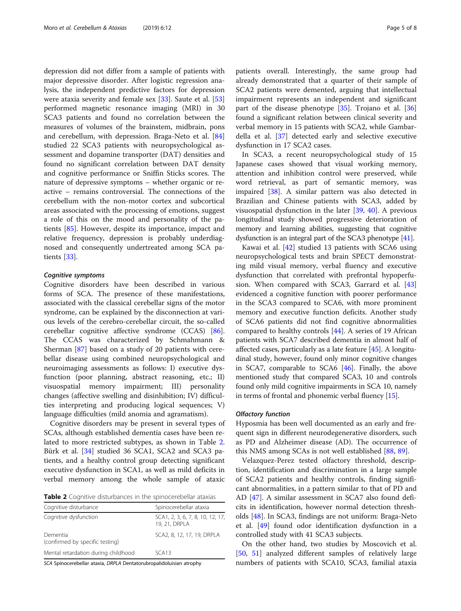depression did not differ from a sample of patients with major depressive disorder. After logistic regression analysis, the independent predictive factors for depression were ataxia severity and female sex [[33](#page-6-0)]. Saute et al. [[53](#page-6-0)] performed magnetic resonance imaging (MRI) in 30 SCA3 patients and found no correlation between the measures of volumes of the brainstem, midbrain, pons and cerebellum, with depression. Braga-Neto et al. [[84](#page-7-0)] studied 22 SCA3 patients with neuropsychological assessment and dopamine transporter (DAT) densities and found no significant correlation between DAT density and cognitive performance or Sniffin Sticks scores. The nature of depressive symptoms – whether organic or reactive – remains controversial. The connections of the cerebellum with the non-motor cortex and subcortical areas associated with the processing of emotions, suggest a role of this on the mood and personality of the patients [[85\]](#page-7-0). However, despite its importance, impact and relative frequency, depression is probably underdiagnosed and consequently undertreated among SCA patients [\[33](#page-6-0)].

#### Cognitive symptoms

Cognitive disorders have been described in various forms of SCA. The presence of these manifestations, associated with the classical cerebellar signs of the motor syndrome, can be explained by the disconnection at various levels of the cerebro-cerebellar circuit, the so-called cerebellar cognitive affective syndrome (CCAS) [\[86](#page-7-0)]. The CCAS was characterized by Schmahmann & Sherman [[87](#page-7-0)] based on a study of 20 patients with cerebellar disease using combined neuropsychological and neuroimaging assessments as follows: I) executive dysfunction (poor planning, abstract reasoning, etc.; II) visuospatial memory impairment; III) personality changes (affective swelling and disinhibition; IV) difficulties interpreting and producing logical sequences; V) language difficulties (mild anomia and agramatism).

Cognitive disorders may be present in several types of SCAs, although established dementia cases have been related to more restricted subtypes, as shown in Table 2. Bürk et al. [[34](#page-6-0)] studied 36 SCA1, SCA2 and SCA3 patients, and a healthy control group detecting significant executive dysfunction in SCA1, as well as mild deficits in verbal memory among the whole sample of ataxic

Table 2 Cognitive disturbances in the spinocerebellar ataxias

| Cognitive disturbance                       | Spinocerebellar ataxia                            |
|---------------------------------------------|---------------------------------------------------|
| Cognitive dysfunction                       | SCA1, 2, 3, 6, 7, 8, 10, 12, 17,<br>19, 21, DRPLA |
| Dementia<br>(confirmed by specific testing) | SCA2, 8, 12, 17, 19, DRPLA                        |
| Mental retardation during childhood         | SCA13                                             |

SCA Spinocerebellar ataxia, DRPLA Dentatorubropalidoluisian atrophy

patients overall. Interestingly, the same group had already demonstrated that a quarter of their sample of SCA2 patients were demented, arguing that intellectual impairment represents an independent and significant part of the disease phenotype [\[35](#page-6-0)]. Trojano et al. [[36](#page-6-0)] found a significant relation between clinical severity and verbal memory in 15 patients with SCA2, while Gambardella et al. [\[37\]](#page-6-0) detected early and selective executive dysfunction in 17 SCA2 cases.

In SCA3, a recent neuropsychological study of 15 Japanese cases showed that visual working memory, attention and inhibition control were preserved, while word retrieval, as part of semantic memory, was impaired [\[38](#page-6-0)]. A similar pattern was also detected in Brazilian and Chinese patients with SCA3, added by visuospatial dysfunction in the later [\[39](#page-6-0), [40\]](#page-6-0). A previous longitudinal study showed progressive deterioration of memory and learning abilities, suggesting that cognitive dysfunction is an integral part of the SCA3 phenotype [\[41\]](#page-6-0).

Kawai et al. [[42](#page-6-0)] studied 13 patients with SCA6 using neuropsychological tests and brain SPECT demonstrating mild visual memory, verbal fluency and executive dysfunction that correlated with prefrontal hypoperfusion. When compared with SCA3, Garrard et al. [[43](#page-6-0)] evidenced a cognitive function with poorer performance in the SCA3 compared to SCA6, with more prominent memory and executive function deficits. Another study of SCA6 patients did not find cognitive abnormalities compared to healthy controls [\[44](#page-6-0)]. A series of 19 African patients with SCA7 described dementia in almost half of affected cases, particularly as a late feature [[45](#page-6-0)]. A longitudinal study, however, found only minor cognitive changes in SCA7, comparable to SCA6 [\[46\]](#page-6-0). Finally, the above mentioned study that compared SCA3, 10 and controls found only mild cognitive impairments in SCA 10, namely in terms of frontal and phonemic verbal fluency [\[15\]](#page-5-0).

#### Olfactory function

Hyposmia has been well documented as an early and frequent sign in different neurodegenerative disorders, such as PD and Alzheimer disease (AD). The occurrence of this NMS among SCAs is not well established [\[88,](#page-7-0) [89\]](#page-7-0).

Velazquez-Perez tested olfactory threshold, description, identification and discrimination in a large sample of SCA2 patients and healthy controls, finding significant abnormalities, in a pattern similar to that of PD and AD [[47](#page-6-0)]. A similar assessment in SCA7 also found deficits in identification, however normal detection thresholds [[48](#page-6-0)]. In SCA3, findings are not uniform: Braga-Neto et al. [[49](#page-6-0)] found odor identification dysfunction in a controlled study with 41 SCA3 subjects.

On the other hand, two studies by Moscovich et al. [[50,](#page-6-0) [51](#page-6-0)] analyzed different samples of relatively large numbers of patients with SCA10, SCA3, familial ataxia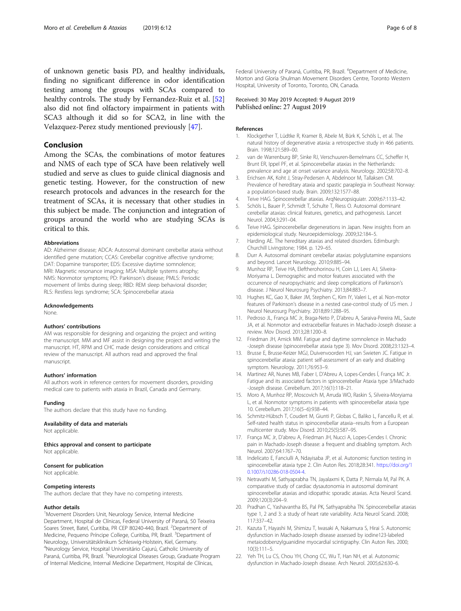<span id="page-5-0"></span>of unknown genetic basis PD, and healthy individuals, finding no significant difference in odor identification testing among the groups with SCAs compared to healthy controls. The study by Fernandez-Ruiz et al. [[52](#page-6-0)] also did not find olfactory impairment in patients with SCA3 although it did so for SCA2, in line with the Velazquez-Perez study mentioned previously [\[47](#page-6-0)].

#### Conclusion

Among the SCAs, the combinations of motor features and NMS of each type of SCA have been relatively well studied and serve as clues to guide clinical diagnosis and genetic testing. However, for the construction of new research protocols and advances in the research for the treatment of SCAs, it is necessary that other studies in this subject be made. The conjunction and integration of groups around the world who are studying SCAs is critical to this.

#### Abbreviations

AD: Alzheimer disease; ADCA: Autosomal dominant cerebellar ataxia without identified gene mutation; CCAS: Cerebellar cognitive affective syndrome; DAT: Dopamine transporter; EDS: Excessive daytime somnolence; MRI: Magnetic resonance imaging; MSA: Multiple systems atrophy; NMS: Nonmotor symptoms; PD: Parkinson's disease; PMLS: Periodic movement of limbs during sleep; RBD: REM sleep behavioral disorder; RLS: Restless legs syndrome; SCA: Spinocerebellar ataxia

#### Acknowledgements

None.

#### Authors' contributions

AM was responsible for designing and organizing the project and writing the manuscript. MM and MF assist in designing the project and writing the manuscript. HT, RPM and CHC made design considerations and critical review of the manuscript. All authors read and approved the final manuscript.

#### Authors' information

All authors work in reference centers for movement disorders, providing medical care to patients with ataxia in Brazil, Canada and Germany.

#### Funding

The authors declare that this study have no funding.

#### Availability of data and materials

Not applicable.

Ethics approval and consent to participate

Not applicable.

#### Consent for publication

Not applicable.

#### Competing interests

The authors declare that they have no competing interests.

#### Author details

<sup>1</sup>Movement Disorders Unit, Neurology Service, Internal Medicine Department, Hospital de Clínicas, Federal University of Paraná, 50 Teixeira Soares Street, Batel, Curitiba, PR CEP 80240-440, Brazil. <sup>2</sup>Department of Medicine, Pequeno Príncipe College, Curitiba, PR, Brazil. <sup>3</sup> Department of Neurology, Universitätsklinikum Schleswig-Holstein, Kiel, Germany. 4 Neurology Service, Hospital Universitário Cajurú, Catholic University of Paraná, Curitiba, PR, Brazil. <sup>5</sup>Neurological Diseases Group, Graduate Program of Internal Medicine, Internal Medicine Department, Hospital de Clínicas,

Federal University of Paraná, Curitiba, PR, Brazil. <sup>6</sup>Department of Medicine, Morton and Gloria Shulman Movement Disorders Centre, Toronto Western Hospital, University of Toronto, Toronto, ON, Canada.

#### Received: 30 May 2019 Accepted: 9 August 2019 Published online: 27 August 2019

#### References

- 1. Klockgether T, Lüdtke R, Kramer B, Abele M, Bürk K, Schöls L, et al. The natural history of degenerative ataxia: a retrospective study in 466 patients. Brain. 1998;121:589–00.
- 2. van de Warrenburg BP, Sinke RJ, Verschuuren-Bemelmans CC, Scheffer H, Brunt ER, Ippel PF, et al. Spinocerebellar ataxias in the Netherlands: prevalence and age at onset variance analysis. Neurology. 2002;58:702–8.
- 3. Erichsen AK, Koht J, Stray-Pedersen A, Abdelnoor M, Tallaksen CM. Prevalence of hereditary ataxia and spastic paraplegia in Southeast Norway: a population-based study. Brain. 2009;132:1577–88.
- 4. Teive HAG. Spinocerebellar ataxias. ArqNeuropsiquiatr. 2009;67:1133–42.
- 5. Schöls L, Bauer P, Schmidt T, Schulte T, Riess O. Autosomal dominant cerebellar ataxias: clinical features, genetics, and pathogenesis. Lancet Neurol. 2004;3:291–04.
- 6. Teive HAG. Spinocerebellar degenerations in Japan. New insights from an epidemiological study. Neuroepidemiology. 2009;32:184–5.
- 7. Harding AE. The hereditary ataxias and related disorders. Edimburgh: Churchill Livingstone; 1984. p. 129–65.
- 8. Durr A. Autosomal dominant cerebellar ataxias: polyglutamine expansions and beyond. Lancet Neurology. 2010;9:885–94.
- 9. Munhoz RP, Teive HA, Eleftherohorinou H, Coin LJ, Lees AJ, Silveira-Moriyama L. Demographic and motor features associated with the occurrence of neuropsychiatric and sleep complications of Parkinson's disease. J Neurol Neurosurg Psychiatry. 2013;84:883–7.
- 10. Hughes KC, Gao X, Baker JM, Stephen C, Kim IY, Valeri L, et al. Non-motor features of Parkinson's disease in a nested case-control study of US men. J Neurol Neurosurg Psychiatry. 2018;89:1288–95.
- 11. Pedroso JL, França MC Jr, Braga-Neto P, D'abreu A, Saraiva-Pereira ML, Saute JA, et al. Nonmotor and extracebellar features in Machado-Joseph disease: a review. Mov Disord. 2013;28:1200–8.
- 12. Friedman JH, Amick MM. Fatigue and daytime somnolence in Machado -Joseph disease (spinocerebellar ataxia type 3). Mov Disord. 2008;23:1323–4.
- 13. Brusse E, Brusse-Keizer MGJ, Duivenvoorden HJ, van Swieten JC. Fatigue in spinocerebellar ataxia: patient self-assessment of an early and disabling symptom. Neurology. 2011;76:953–9.
- 14. Martinez AR, Nunes MB, Faber I, D'Abreu A, Lopes-Cendes Í, França MC Jr. Fatigue and its associated factors in spinocerebellar Ataxia type 3/Machado -Joseph disease. Cerebellum. 2017;16(1):118–21.
- 15. Moro A, Munhoz RP, Moscovich M, Arruda WO, Raskin S, Silveira-Moryiama L, et al. Nonmotor symptoms in patients with spinocerebellar ataxia type 10. Cerebellum. 2017;16(5–6):938–44.
- 16. Schmitz-Hübsch T, Coudert M, Giunti P, Globas C, Baliko L, Fancellu R, et al. Self-rated health status in spinocerebellar ataxia--results from a European multicenter study. Mov Disord. 2010;25(5):587–95.
- 17. França MC Jr, D'abreu A, Friedman JH, Nucci A, Lopes-Cendes I. Chronic pain in Machado-Joseph disease: a frequent and disabling symptom. Arch Neurol. 2007;64:1767–70.
- 18. Indelicato E, Fanciulli A, Ndayisaba JP, et al. Autonomic function testing in spinocerebellar ataxia type 2. Clin Auton Res. 2018;28:341. [https://doi.org/1](https://doi.org/10.1007/s10286-018-0504-4) [0.1007/s10286-018-0504-4.](https://doi.org/10.1007/s10286-018-0504-4)
- 19. Netravathi M, Sathyaprabha TN, Jayalaxmi K, Datta P, Nirmala M, Pal PK. A comparative study of cardiac dysautonomia in autosomal dominant spinocerebellar ataxias and idiopathic sporadic ataxias. Acta Neurol Scand. 2009;120(3):204–9.
- 20. Pradhan C, Yashavantha BS, Pal PK, Sathyaprabha TN. Spinocerebellar ataxias type 1, 2 and 3: a study of heart rate variability. Acta Neurol Scand. 2008; 117:337–42.
- 21. Kazuta T, Hayashi M, Shimizu T, Iwasaki A, Nakamura S, Hirai S. Autonomic dysfunction in Machado-Joseph disease assessed by iodine123-labeled metaiodobenzylguanidine myocardial scintigraphy. Clin Auton Res. 2000; 10(3):111–5.
- 22. Yeh TH, Lu CS, Chou YH, Chong CC, Wu T, Han NH, et al. Autonomic dysfunction in Machado-Joseph disease. Arch Neurol. 2005;62:630–6.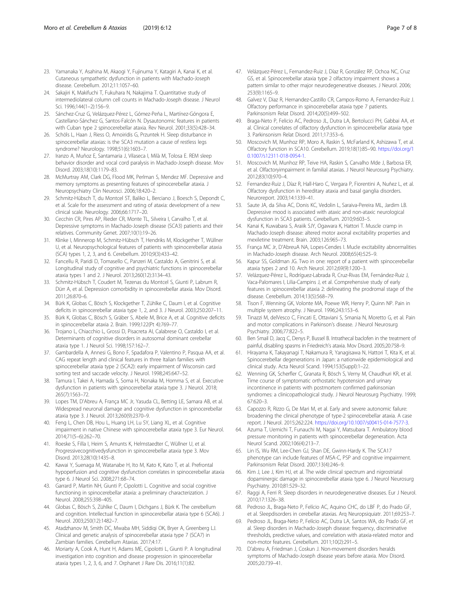- <span id="page-6-0"></span>23. Yamanaka Y, Asahina M, Akaogi Y, Fujinuma Y, Katagiri A, Kanai K, et al. Cutaneous sympathetic dysfunction in patients with Machado-Joseph disease. Cerebellum. 2012;11:1057–60.
- 24. Sakajiri K, Makifuchi T, Fukuhara N, Nakajima T. Quantitative study of intermediolateral column cell counts in Machado-Joseph disease. J Neurol Sci. 1996;144(1–2):156–9.
- 25. Sánchez-Cruz G, Velázquez-Pérez L, Gómez-Peña L, Martínez-Góngora E, Castellano-Sánchez G, Santos-Falcón N. Dysautonomic features in patients with Cuban type 2 spinocerebellar ataxia. Rev Neurol. 2001;33(5):428–34.
- 26. Schöls L, Haan J, Riess O, Amoiridis G, Przuntek H. Sleep disturbance in spinocerebellar ataxias: is the SCA3 mutation a cause of restless legs syndrome? Neurology. 1998;51(6):1603–7.
- 27. Iranzo A, Muñoz E, Santamaria J, Vilaseca I, Milà M, Tolosa E. REM sleep behavior disorder and vocal cord paralysis in Machado-Joseph disease. Mov Disord. 2003;18(10):1179–83.
- 28. McMurtray AM, Clark DG, Flood MK, Perlman S, Mendez MF. Depressive and memory symptoms as presenting features of spinocerebellar ataxia. J Neuropsychiatry Clin Neurosci. 2006;18:420–2.
- 29. Schmitz-Hübsch T, du Montcel ST, Baliko L, Berciano J, Boesch S, Depondt C, et al. Scale for the assessment and rating of ataxia: development of a new clinical scale. Neurology. 2006;66:1717–20.
- 30. Cecchin CR, Pires AP, Rieder CR, Monte TL, Silveira I, Carvalho T, et al. Depressive symptoms in Machado-Joseph disease (SCA3) patients and their relatives. Community Genet. 2007;10(1):19–26.
- 31. Klinke I, Minnerop M, Schmitz-Hübsch T, Hendriks M, Klockgether T, Wüllner U, et al. Neuropsychological features of patients with spinocerebellar ataxia (SCA) types 1, 2, 3, and 6. Cerebellum. 2010;9(3):433–42.
- 32. Fancellu R, Paridi D, Tomasello C, Panzeri M, Castaldo A, Genitrini S, et al. Longitudinal study of cognitive and psychiatric functions in spinocerebellar ataxia types 1 and 2. J Neurol. 2013;260(12):3134–43.
- 33. Schmitz-Hübsch T, Coudert M, Tezenas du Montcel S, Giunti P, Labrum R, Dürr A, et al. Depression comorbidity in spinocerebellar ataxia. Mov Disord. 2011;26:870–6.
- 34. Bürk K, Globas C, Bösch S, Klockgether T, Zühlke C, Daum I, et al. Cognitive deficits in spinocerebellar ataxia type 1, 2, and 3. J Neurol. 2003;250:207–11.
- 35. Bürk K, Globas C, Bösch S, Gräber S, Abele M, Brice A, et al. Cognitive deficits in spinocerebellar ataxia 2. Brain. 1999;122(Pt 4):769–77.
- 36. Trojano L, Chiacchio L, Grossi D, Pisacreta AI, Calabrese O, Castaldo I, et al. Determinants of cognitive disorders in autosomal dominant cerebellar ataxia type 1. J Neurol Sci. 1998;157:162–7.
- 37. Gambardella A, Annesi G, Bono F, Spadafora P, Valentino P, Pasqua AA, et al. CAG repeat length and clinical features in three Italian families with spinocerebellar ataxia type 2 (SCA2): early impairment of Wisconsin card sorting test and saccade velocity. J Neurol. 1998;245:647–52.
- 38. Tamura I, Takei A, Hamada S, Soma H, Nonaka M, Homma S, et al. Executive dysfunction in patients with spinocerebellar ataxia type 3. J Neurol. 2018; 265(7):1563–72.
- 39. Lopes TM, D'Abreu A, França MC Jr, Yasuda CL, Betting LE, Samara AB, et al. Widespread neuronal damage and cognitive dysfunction in spinocerebellar ataxia type 3. J Neurol. 2013;260(9):2370–9.
- 40. Feng L, Chen DB, Hou L, Huang LH, Lu SY, Liang XL, et al. Cognitive impairment in native Chinese with spinocerebellar ataxia type 3. Eur Neurol. 2014;71(5–6):262–70.
- 41. Roeske S, Filla I, Heim S, Amunts K, Helmstaedter C, Wüllner U, et al. Progressivecognitivedysfunction in spinocerebellar ataxia type 3. Mov Disord. 2013;28(10):1435–8.
- 42. Kawai Y, Suenaga M, Watanabe H, Ito M, Kato K, Kato T, et al. Prefrontal hypoperfusion and cognitive dysfunction correlates in spinocerebellar ataxia type 6. J Neurol Sci. 2008;271:68–74.
- 43. Garrard P, Martin NH, Giunti P, Cipolotti L. Cognitive and social cognitive functioning in spinocerebellar ataxia: a preliminary characterization. J Neurol. 2008;255:398–405.
- 44. Globas C, Bösch S, Zühlke C, Daum I, Dichgans J, Bürk K. The cerebellum and cognition. Intellectual function in spinocerebellar ataxia type 6 (SCA6). J Neurol. 2003;250(12):1482–7.
- 45. Atadzhanov M, Smith DC, Mwaba MH, Siddiqi OK, Bryer A, Greenberg LJ. Clinical and genetic analysis of spinocerebellar ataxia type 7 (SCA7) in Zambian families. Cerebellum Ataxias. 2017;4:17.
- 46. Moriarty A, Cook A, Hunt H, Adams ME, Cipolotti L, Giunti P. A longitudinal investigation into cognition and disease progression in spinocerebellar ataxia types 1, 2, 3, 6, and 7. Orphanet J Rare Dis. 2016;11(1):82.
- 47. Velázquez-Pérez L, Fernandez-Ruiz J, Díaz R, González RP, Ochoa NC, Cruz GS, et al. Spinocerebellar ataxia type 2 olfactory impairment shows a pattern similar to other major neurodegenerative diseases. J Neurol. 2006; 253(9):1165–9.
- 48. Galvez V, Diaz R, Hernandez-Castillo CR, Campos-Romo A, Fernandez-Ruiz J. Olfactory performance in spinocerebellar ataxia type 7 patients. Parkinsonism Relat Disord. 2014;20(5):499–502.
- 49. Braga-Neto P, Felicio AC, Pedroso JL, Dutra LA, Bertolucci PH, Gabbai AA, et al. Clinical correlates of olfactory dysfunction in spinocerebellar ataxia type 3. Parkinsonism Relat Disord. 2011;17:353–6.
- 50. Moscovich M, Munhoz RP, Moro A, Raskin S, McFarland K, Ashizawa T, et al. Olfactory function in SCA10. Cerebellum. 2019;18(1):85–90. [https://doi.org/1](https://doi.org/10.1007/s12311-018-0954-1) [0.1007/s12311-018-0954-1.](https://doi.org/10.1007/s12311-018-0954-1)
- 51. Moscovich M, Munhoz RP, Teive HA, Raskin S, Carvalho Mde J, Barbosa ER, et al. Olfactoryimpairment in familial ataxias. J Neurol Neurosurg Psychiatry. 2012;83(10):970–4.
- 52. Fernandez-Ruiz J, Díaz R, Hall-Haro C, Vergara P, Fiorentini A, Nuñez L, et al. Olfactory dysfunction in hereditary ataxia and basal ganglia disorders. Neuroreport. 2003;14:1339–41.
- 53. Saute JA, da Silva AC, Donis KC, Vedolin L, Saraiva-Pereira ML, Jardim LB. Depressive mood is associated with ataxic and non-ataxic neurological dysfunction in SCA3 patients. Cerebellum. 2010;9:603–5.
- 54. Kanai K, Kuwabara S, Araiik SJY, Ogawara K, Hattori T. Muscle cramp in Machado-Joseph disease: altered motor axonal excitability properties and mexiletine treatment. Brain. 2003;126:965–73.
- 55. França MC Jr, D'AbreuA NA, Lopes-Cendes I. Mucle excitability abnormalities in Machado-Joseph disease. Arch Neurol. 2008;65(4):525–9.
- 56. Kapur SS, Goldman JG. Two in one: report of a patient with spinocerebellar ataxia types 2 and 10. Arch Neurol. 2012;69(9):1200–3.
- 57. Velázquez-Pérez L, Rodríguez-Labrada R, Cruz-Rivas EM, Fernández-Ruiz J, Vaca-Palomares I, Lilia-Campins J, et al. Comprehensive study of early features in spinocerebellar ataxia 2: delineating the prodromal stage of the disease. Cerebellum. 2014;13(5):568–79.
- Tison F, Wenning GK, Volonte MA, Poewe WR, Henry P, Quinn NP. Pain in multiple system atrophy. J Neurol. 1996;243:153–6.
- 59. Tinazzi M, delVesco C, Fincati E, Ottaviani S, Smania N, Moretto G, et al. Pain and motor complications in Parkinson's disease. J Neurol Neurosurg Psychiatry. 2006;77:822–5.
- 60. Ben Smail D, Jacq C, Denys P, Bussel B. Intrathecal baclofen in the treatment of painful, disabling spasms in Friedreich's ataxia. Mov Disord. 2005;20:758–9.
- 61. Hirayama K, Takayanagi T, Nakamura R, Yanagisawa N, Hattori T, Kita K, et al. Spinocerebellar degenerations in Japan: a nationwide epidemiological and clinical study. Acta Neurol Scand. 1994;153(Suppl):1–22.
- 62. Wenning GK, Scherfler C, Granata R, Bösch S, Verny M, Chaudhuri KR, et al. Time course of symptomatic orthostatic hypotension and urinary incontinence in patients with postmortem confirmed parkinsonian syndromes: a clinicopathological study. J Neurol Neurosurg Psychiatry. 1999; 67:620–3.
- 63. Capozzo R, Rizzo G, De Mari M, et al. Early and severe autonomic failure: broadening the clinical phenotype of type-2 spinocerebellar ataxia. A case report. J Neurol. 2015;262:224. [https://doi.org/10.1007/s00415-014-7577-3.](https://doi.org/10.1007/s00415-014-7577-3)
- Azuma T, Uemichi T, Funauchi M, Nagai Y, Matsubara T. Ambulatory blood pressure monitoring in patients with spinocerebellar degeneration. Acta Neurol Scand. 2002;106(4):213–7.
- 65. Lin IS, Wu RM, Lee-Chen GJ, Shan DE, Gwinn-Hardy K. The SCA17 phenotype can include features of MSA-C, PSP and cognitive impairment. Parkinsonism Relat Disord. 2007;13(4):246–9.
- 66. Kim J, Lee J, Kim HJ, et al. The wide clinical spectrum and nigrostriatal dopaminergic damage in spinocerebellar ataxia type 6. J Neurol Neurosurg Psychiatry. 2010;81:529–32.
- 67. Raggi A, Ferri R. Sleep disorders in neurodegenerative diseases. Eur J Neurol. 2010;17:1326–38.
- 68. Pedroso JL, Braga-Neto P, Felício AC, Aquino CHC, do LBF P, do Prado GF, et al. Sleepdisorders in cerebellar ataxias. Arq Neuropsiquiatr. 2011;69:253–7.
- 69. Pedroso JL, Braga-Neto P, Felício AC, Dutra LA, Santos WA, do Prado GF, et al. Sleep disorders in Machado-Joseph disease: frequency, discriminative thresholds, predictive values, and correlation with ataxia-related motor and non-motor features. Cerebellum. 2011;10(2):291–5.
- 70. D'abreu A, Friedman J, Coskun J. Non-movement disorders heralds symptoms of Machado-Joseph disease years before ataxia. Mov Disord. 2005;20:739–41.